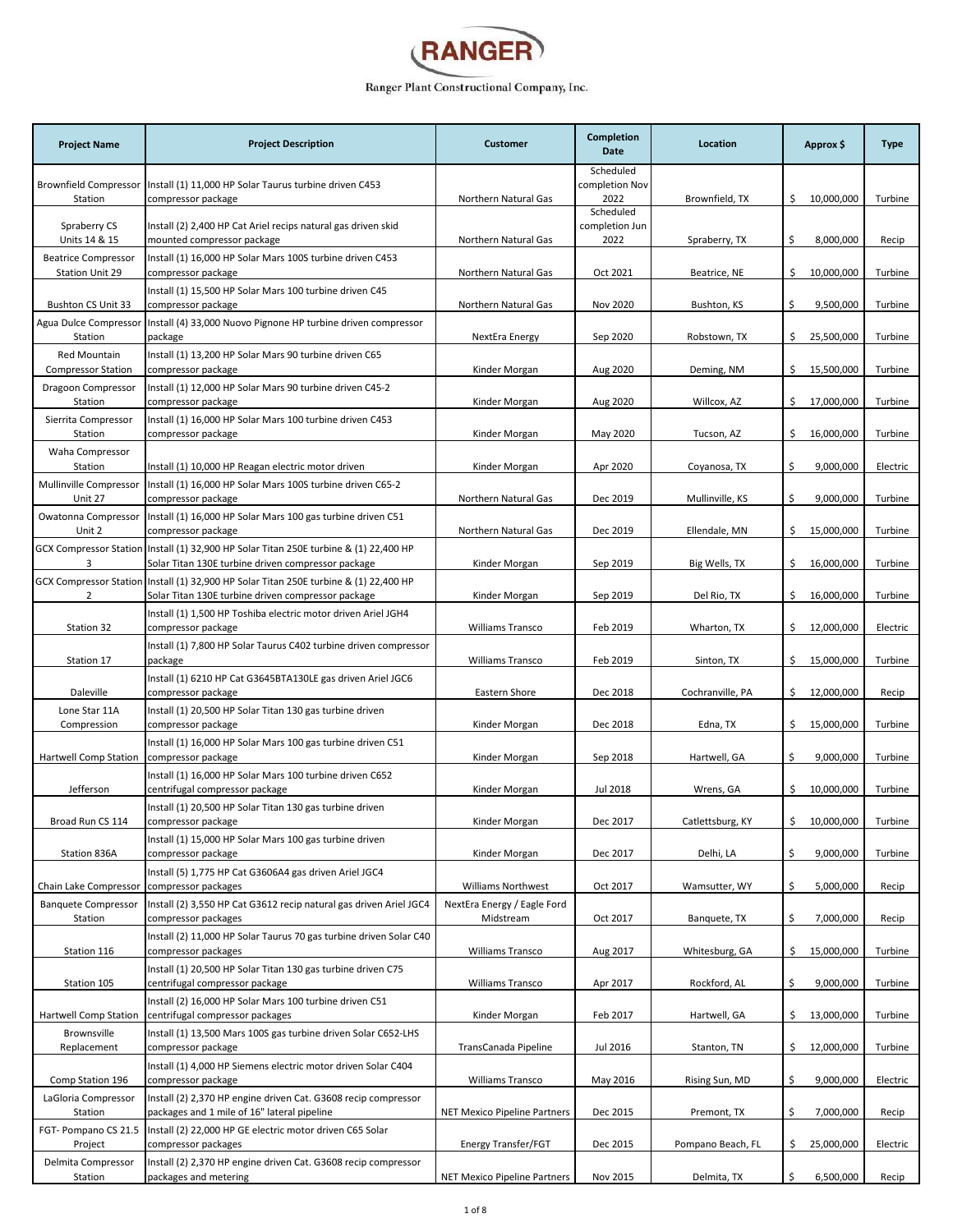

| <b>Project Name</b>                              | <b>Project Description</b>                                                                                                                  | <b>Customer</b>                          | Completion<br>Date          | Location          | Approx \$         | <b>Type</b> |
|--------------------------------------------------|---------------------------------------------------------------------------------------------------------------------------------------------|------------------------------------------|-----------------------------|-------------------|-------------------|-------------|
| <b>Brownfield Compressor</b>                     | Install (1) 11,000 HP Solar Taurus turbine driven C453                                                                                      |                                          | Scheduled<br>completion Nov |                   |                   |             |
| Station                                          | compressor package                                                                                                                          | Northern Natural Gas                     | 2022<br>Scheduled           | Brownfield, TX    | \$.<br>10,000,000 | Turbine     |
| Spraberry CS<br>Units 14 & 15                    | Install (2) 2,400 HP Cat Ariel recips natural gas driven skid<br>mounted compressor package                                                 | Northern Natural Gas                     | completion Jun<br>2022      | Spraberry, TX     | \$<br>8,000,000   | Recip       |
| <b>Beatrice Compressor</b><br>Station Unit 29    | Install (1) 16,000 HP Solar Mars 100S turbine driven C453<br>compressor package                                                             | Northern Natural Gas                     | Oct 2021                    | Beatrice, NE      | 10,000,000<br>\$. | Turbine     |
|                                                  | Install (1) 15,500 HP Solar Mars 100 turbine driven C45                                                                                     |                                          |                             |                   |                   |             |
| Bushton CS Unit 33<br>Agua Dulce Compressor      | compressor package<br>Install (4) 33,000 Nuovo Pignone HP turbine driven compressor                                                         | Northern Natural Gas                     | Nov 2020                    | Bushton, KS       | 9,500,000<br>\$   | Turbine     |
| Station                                          | package                                                                                                                                     | NextEra Energy                           | Sep 2020                    | Robstown, TX      | 25,500,000<br>\$. | Turbine     |
| <b>Red Mountain</b><br><b>Compressor Station</b> | Install (1) 13,200 HP Solar Mars 90 turbine driven C65<br>compressor package                                                                | Kinder Morgan                            | Aug 2020                    | Deming, NM        | \$<br>15,500,000  | Turbine     |
| Dragoon Compressor<br>Station                    | Install (1) 12,000 HP Solar Mars 90 turbine driven C45-2<br>compressor package                                                              | Kinder Morgan                            | Aug 2020                    | Willcox, AZ       | 17,000,000<br>\$. | Turbine     |
| Sierrita Compressor<br>Station                   | Install (1) 16,000 HP Solar Mars 100 turbine driven C453<br>compressor package                                                              | Kinder Morgan                            | May 2020                    | Tucson, AZ        | \$<br>16,000,000  | Turbine     |
| Waha Compressor                                  |                                                                                                                                             |                                          |                             |                   |                   |             |
| Station<br>Mullinville Compressor                | Install (1) 10,000 HP Reagan electric motor driven<br>Install (1) 16,000 HP Solar Mars 100S turbine driven C65-2                            | Kinder Morgan                            | Apr 2020                    | Coyanosa, TX      | \$<br>9,000,000   | Electric    |
| Unit 27                                          | compressor package                                                                                                                          | Northern Natural Gas                     | Dec 2019                    | Mullinville, KS   | \$<br>9,000,000   | Turbine     |
| Owatonna Compressor<br>Unit 2                    | Install (1) 16,000 HP Solar Mars 100 gas turbine driven C51<br>compressor package                                                           | Northern Natural Gas                     | Dec 2019                    | Ellendale, MN     | 15,000,000<br>Ś.  | Turbine     |
| 3                                                | GCX Compressor Station Install (1) 32,900 HP Solar Titan 250E turbine & (1) 22,400 HP<br>Solar Titan 130E turbine driven compressor package | Kinder Morgan                            | Sep 2019                    | Big Wells, TX     | \$.<br>16,000,000 | Turbine     |
| 2                                                | GCX Compressor Station Install (1) 32,900 HP Solar Titan 250E turbine & (1) 22,400 HP<br>Solar Titan 130E turbine driven compressor package | Kinder Morgan                            | Sep 2019                    | Del Rio, TX       | \$<br>16,000,000  | Turbine     |
| Station 32                                       | Install (1) 1,500 HP Toshiba electric motor driven Ariel JGH4<br>compressor package                                                         | <b>Williams Transco</b>                  | Feb 2019                    | Wharton, TX       | \$<br>12,000,000  | Electric    |
| Station 17                                       | Install (1) 7,800 HP Solar Taurus C402 turbine driven compressor<br>package                                                                 | <b>Williams Transco</b>                  | Feb 2019                    | Sinton, TX        | \$.<br>15,000,000 | Turbine     |
| Daleville                                        | Install (1) 6210 HP Cat G3645BTA130LE gas driven Ariel JGC6<br>compressor package                                                           | Eastern Shore                            | Dec 2018                    | Cochranville, PA  | 12,000,000<br>\$. | Recip       |
| Lone Star 11A<br>Compression                     | Install (1) 20,500 HP Solar Titan 130 gas turbine driven<br>compressor package                                                              | Kinder Morgan                            | Dec 2018                    | Edna, TX          | \$<br>15,000,000  | Turbine     |
| Hartwell Comp Station                            | Install (1) 16,000 HP Solar Mars 100 gas turbine driven C51<br>compressor package                                                           | Kinder Morgan                            | Sep 2018                    | Hartwell, GA      | \$<br>9,000,000   | Turbine     |
| Jefferson                                        | Install (1) 16,000 HP Solar Mars 100 turbine driven C652                                                                                    |                                          | Jul 2018                    | Wrens, GA         | \$.<br>10,000,000 | Turbine     |
|                                                  | centrifugal compressor package<br>Install (1) 20,500 HP Solar Titan 130 gas turbine driven                                                  | Kinder Morgan                            |                             |                   |                   |             |
| Broad Run CS 114                                 | compressor package<br>Install (1) 15,000 HP Solar Mars 100 gas turbine driven                                                               | Kinder Morgan                            | Dec 2017                    | Catlettsburg, KY  | 10,000,000        | Turbine     |
| Station 836A                                     | compressor package                                                                                                                          | Kinder Morgan                            | Dec 2017                    | Delhi, LA         | \$<br>9,000,000   | Turbine     |
| Chain Lake Compressor                            | Install (5) 1,775 HP Cat G3606A4 gas driven Ariel JGC4<br>compressor packages                                                               | <b>Williams Northwest</b>                | Oct 2017                    | Wamsutter, WY     | 5,000,000<br>\$   | Recip       |
| <b>Banquete Compressor</b><br>Station            | Install (2) 3,550 HP Cat G3612 recip natural gas driven Ariel JGC4<br>compressor packages                                                   | NextEra Energy / Eagle Ford<br>Midstream | Oct 2017                    | Banquete, TX      | \$<br>7,000,000   | Recip       |
| Station 116                                      | Install (2) 11,000 HP Solar Taurus 70 gas turbine driven Solar C40<br>compressor packages                                                   | <b>Williams Transco</b>                  | Aug 2017                    | Whitesburg, GA    | 15,000,000<br>\$. | Turbine     |
| Station 105                                      | Install (1) 20,500 HP Solar Titan 130 gas turbine driven C75<br>centrifugal compressor package                                              | Williams Transco                         | Apr 2017                    | Rockford, AL      | \$<br>9,000,000   | Turbine     |
| Hartwell Comp Station                            | Install (2) 16,000 HP Solar Mars 100 turbine driven C51<br>centrifugal compressor packages                                                  | Kinder Morgan                            | Feb 2017                    | Hartwell, GA      | \$<br>13,000,000  | Turbine     |
| Brownsville<br>Replacement                       | Install (1) 13,500 Mars 100S gas turbine driven Solar C652-LHS<br>compressor package                                                        | TransCanada Pipeline                     | Jul 2016                    | Stanton, TN       | 12,000,000<br>\$. | Turbine     |
| Comp Station 196                                 | Install (1) 4,000 HP Siemens electric motor driven Solar C404<br>compressor package                                                         | <b>Williams Transco</b>                  | May 2016                    | Rising Sun, MD    | \$<br>9,000,000   | Electric    |
| LaGloria Compressor                              | Install (2) 2,370 HP engine driven Cat. G3608 recip compressor                                                                              |                                          |                             |                   |                   |             |
| Station<br>FGT- Pompano CS 21.5                  | packages and 1 mile of 16" lateral pipeline<br>Install (2) 22,000 HP GE electric motor driven C65 Solar                                     | <b>NET Mexico Pipeline Partners</b>      | Dec 2015                    | Premont, TX       | \$<br>7,000,000   | Recip       |
| Project                                          | compressor packages                                                                                                                         | Energy Transfer/FGT                      | Dec 2015                    | Pompano Beach, FL | \$<br>25,000,000  | Electric    |
| Delmita Compressor<br>Station                    | Install (2) 2,370 HP engine driven Cat. G3608 recip compressor<br>packages and metering                                                     | NET Mexico Pipeline Partners             | Nov 2015                    | Delmita, TX       | 6,500,000<br>\$   | Recip       |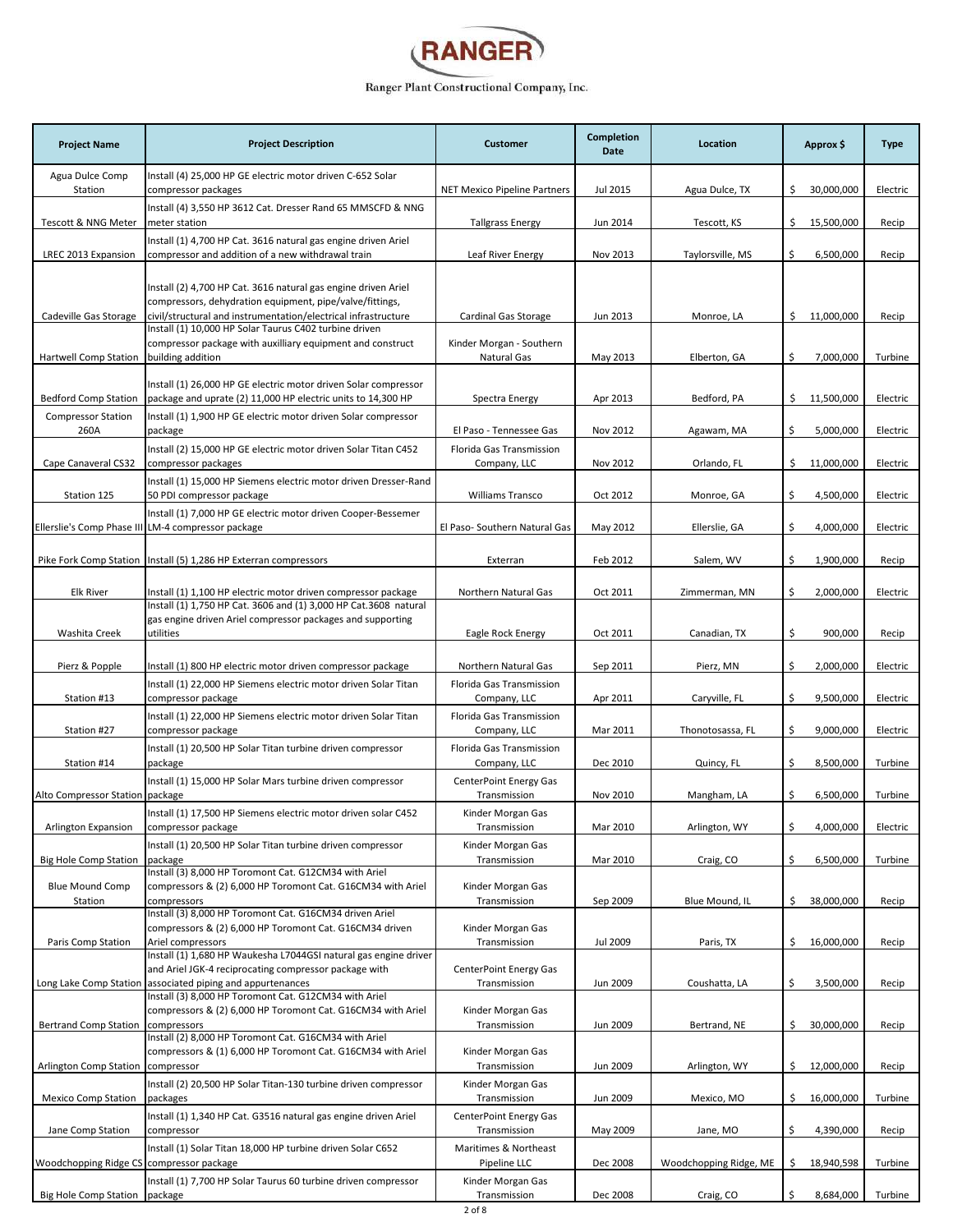

| <b>Project Name</b>                                    | <b>Project Description</b>                                                                                                                                                                   | <b>Customer</b>                               | Completion<br>Date | Location               | Approx \$         | <b>Type</b> |
|--------------------------------------------------------|----------------------------------------------------------------------------------------------------------------------------------------------------------------------------------------------|-----------------------------------------------|--------------------|------------------------|-------------------|-------------|
| Agua Dulce Comp<br>Station                             | Install (4) 25,000 HP GE electric motor driven C-652 Solar<br>compressor packages                                                                                                            | NET Mexico Pipeline Partners                  | Jul 2015           | Agua Dulce, TX         | \$.<br>30,000,000 | Electric    |
| Tescott & NNG Meter                                    | Install (4) 3,550 HP 3612 Cat. Dresser Rand 65 MMSCFD & NNG<br>meter station                                                                                                                 | <b>Tallgrass Energy</b>                       | Jun 2014           | Tescott, KS            | \$<br>15,500,000  | Recip       |
|                                                        | Install (1) 4,700 HP Cat. 3616 natural gas engine driven Ariel                                                                                                                               |                                               |                    |                        |                   |             |
| LREC 2013 Expansion                                    | compressor and addition of a new withdrawal train                                                                                                                                            | Leaf River Energy                             | Nov 2013           | Taylorsville, MS       | \$<br>6,500,000   | Recip       |
| Cadeville Gas Storage                                  | Install (2) 4,700 HP Cat. 3616 natural gas engine driven Ariel<br>compressors, dehydration equipment, pipe/valve/fittings,<br>civil/structural and instrumentation/electrical infrastructure | Cardinal Gas Storage                          | Jun 2013           | Monroe, LA             | \$.<br>11,000,000 | Recip       |
|                                                        | Install (1) 10,000 HP Solar Taurus C402 turbine driven<br>compressor package with auxilliary equipment and construct                                                                         | Kinder Morgan - Southern                      |                    |                        |                   |             |
| Hartwell Comp Station                                  | building addition                                                                                                                                                                            | Natural Gas                                   | May 2013           | Elberton, GA           | \$<br>7,000,000   | Turbine     |
| <b>Bedford Comp Station</b>                            | Install (1) 26,000 HP GE electric motor driven Solar compressor<br>package and uprate (2) 11,000 HP electric units to 14,300 HP                                                              | Spectra Energy                                | Apr 2013           | Bedford, PA            | \$11,500,000      | Electric    |
| <b>Compressor Station</b><br>260A                      | Install (1) 1,900 HP GE electric motor driven Solar compressor<br>package                                                                                                                    | El Paso - Tennessee Gas                       | Nov 2012           | Agawam, MA             | 5,000,000<br>\$   | Electric    |
| Cape Canaveral CS32                                    | Install (2) 15,000 HP GE electric motor driven Solar Titan C452<br>compressor packages                                                                                                       | Florida Gas Transmission<br>Company, LLC      | Nov 2012           | Orlando, FL            | \$<br>11,000,000  | Electric    |
| Station 125                                            | Install (1) 15,000 HP Siemens electric motor driven Dresser-Rand<br>50 PDI compressor package                                                                                                | <b>Williams Transco</b>                       | Oct 2012           | Monroe, GA             | \$<br>4,500,000   | Electric    |
|                                                        | Install (1) 7,000 HP GE electric motor driven Cooper-Bessemer                                                                                                                                |                                               |                    |                        |                   |             |
|                                                        | Ellerslie's Comp Phase III LM-4 compressor package                                                                                                                                           | El Paso- Southern Natural Gas                 | May 2012           | Ellerslie, GA          | \$<br>4,000,000   | Electric    |
|                                                        | Pike Fork Comp Station   Install (5) 1,286 HP Exterran compressors                                                                                                                           | Exterran                                      | Feb 2012           | Salem, WV              | \$<br>1,900,000   | Recip       |
| <b>Elk River</b>                                       | Install (1) 1,100 HP electric motor driven compressor package                                                                                                                                | Northern Natural Gas                          | Oct 2011           | Zimmerman, MN          | \$<br>2,000,000   | Electric    |
| Washita Creek                                          | Install (1) 1,750 HP Cat. 3606 and (1) 3,000 HP Cat.3608 natural<br>gas engine driven Ariel compressor packages and supporting<br>utilities                                                  | Eagle Rock Energy                             | Oct 2011           | Canadian, TX           | \$<br>900,000     | Recip       |
| Pierz & Popple                                         | Install (1) 800 HP electric motor driven compressor package                                                                                                                                  | Northern Natural Gas                          | Sep 2011           | Pierz, MN              | \$<br>2,000,000   | Electric    |
| Station #13                                            | Install (1) 22,000 HP Siemens electric motor driven Solar Titan<br>compressor package                                                                                                        | Florida Gas Transmission<br>Company, LLC      | Apr 2011           | Caryville, FL          | \$<br>9,500,000   | Electric    |
| Station #27                                            | Install (1) 22,000 HP Siemens electric motor driven Solar Titan<br>compressor package                                                                                                        | Florida Gas Transmission<br>Company, LLC      | Mar 2011           | Thonotosassa, FL       | \$<br>9,000,000   | Electric    |
| Station #14                                            | Install (1) 20,500 HP Solar Titan turbine driven compressor<br>package                                                                                                                       | Florida Gas Transmission<br>Company, LLC      | Dec 2010           | Quincy, FL             | \$<br>8,500,000   | Turbine     |
| Alto Compressor Station package                        | Install (1) 15,000 HP Solar Mars turbine driven compressor                                                                                                                                   | <b>CenterPoint Energy Gas</b><br>Transmission | Nov 2010           | Mangham, LA            | \$<br>6,500,000   | Turbine     |
| Arlington Expansion                                    | Install (1) 17.500 HP Siemens electric motor driven solar C452<br>compressor package                                                                                                         | Kinder Morgan Gas<br>Transmission             | Mar 2010           | Arlington, WY          | \$<br>4,000,000   | Electric    |
|                                                        | Install (1) 20,500 HP Solar Titan turbine driven compressor                                                                                                                                  | Kinder Morgan Gas                             |                    |                        |                   |             |
| <b>Big Hole Comp Station</b><br><b>Blue Mound Comp</b> | package<br>Install (3) 8,000 HP Toromont Cat. G12CM34 with Ariel<br>compressors & (2) 6,000 HP Toromont Cat. G16CM34 with Ariel                                                              | Transmission<br>Kinder Morgan Gas             | Mar 2010           | Craig, CO              | \$<br>6,500,000   | Turbine     |
| Station                                                | compressors<br>Install (3) 8,000 HP Toromont Cat. G16CM34 driven Ariel                                                                                                                       | Transmission                                  | Sep 2009           | Blue Mound, IL         | \$.<br>38,000,000 | Recip       |
|                                                        | compressors & (2) 6,000 HP Toromont Cat. G16CM34 driven                                                                                                                                      | Kinder Morgan Gas                             |                    |                        |                   |             |
| Paris Comp Station                                     | Ariel compressors<br>Install (1) 1,680 HP Waukesha L7044GSI natural gas engine driver                                                                                                        | Transmission                                  | Jul 2009           | Paris, TX              | 16,000,000<br>\$. | Recip       |
| Long Lake Comp Station                                 | and Ariel JGK-4 reciprocating compressor package with<br>associated piping and appurtenances                                                                                                 | <b>CenterPoint Energy Gas</b><br>Transmission | Jun 2009           | Coushatta, LA          | \$<br>3,500,000   | Recip       |
| <b>Bertrand Comp Station</b>                           | Install (3) 8,000 HP Toromont Cat. G12CM34 with Ariel<br>compressors & (2) 6,000 HP Toromont Cat. G16CM34 with Ariel<br>compressors                                                          | Kinder Morgan Gas<br>Transmission             | Jun 2009           | Bertrand, NE           | \$.<br>30,000,000 | Recip       |
| <b>Arlington Comp Station</b>                          | Install (2) 8,000 HP Toromont Cat. G16CM34 with Ariel<br>compressors & (1) 6,000 HP Toromont Cat. G16CM34 with Ariel<br>compressor                                                           | Kinder Morgan Gas<br>Transmission             | Jun 2009           | Arlington, WY          | \$<br>12,000,000  | Recip       |
| <b>Mexico Comp Station</b>                             | Install (2) 20,500 HP Solar Titan-130 turbine driven compressor<br>packages                                                                                                                  | Kinder Morgan Gas<br>Transmission             | Jun 2009           | Mexico, MO             | Ś.<br>16,000,000  | Turbine     |
| Jane Comp Station                                      | Install (1) 1,340 HP Cat. G3516 natural gas engine driven Ariel<br>compressor                                                                                                                | CenterPoint Energy Gas<br>Transmission        | May 2009           | Jane, MO               | \$<br>4,390,000   | Recip       |
| Woodchopping Ridge CS compressor package               | Install (1) Solar Titan 18,000 HP turbine driven Solar C652                                                                                                                                  | Maritimes & Northeast<br>Pipeline LLC         | Dec 2008           | Woodchopping Ridge, ME | \$.<br>18,940,598 | Turbine     |
| Big Hole Comp Station   package                        | Install (1) 7,700 HP Solar Taurus 60 turbine driven compressor                                                                                                                               | Kinder Morgan Gas<br>Transmission             | Dec 2008           | Craig, CO              | Ś.<br>8,684,000   | Turbine     |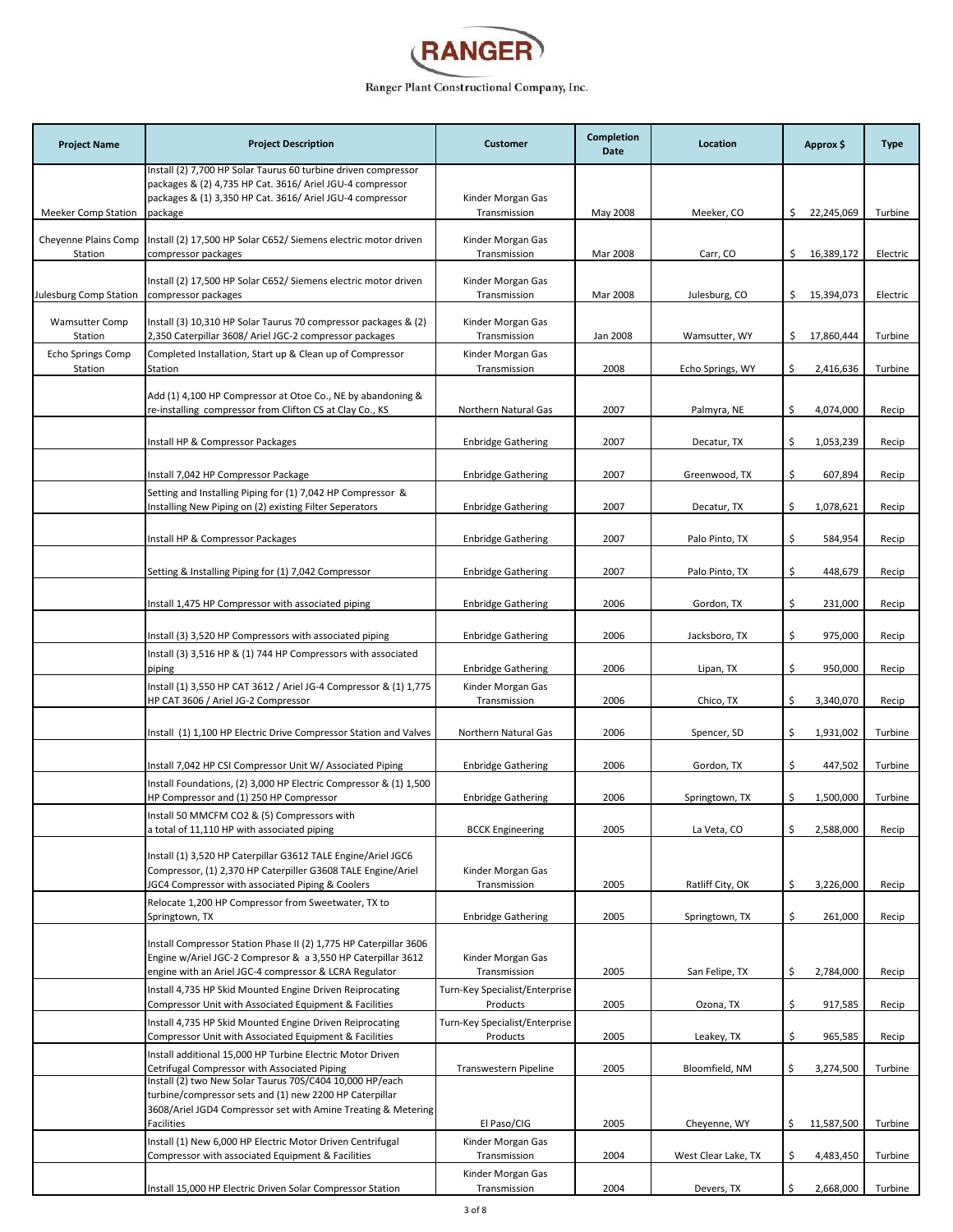

| <b>Project Name</b>              | <b>Project Description</b>                                                                                                                                                                   | <b>Customer</b>                            | Completion<br>Date | Location            | Approx \$        | <b>Type</b> |
|----------------------------------|----------------------------------------------------------------------------------------------------------------------------------------------------------------------------------------------|--------------------------------------------|--------------------|---------------------|------------------|-------------|
|                                  | Install (2) 7,700 HP Solar Taurus 60 turbine driven compressor<br>packages & (2) 4,735 HP Cat. 3616/ Ariel JGU-4 compressor                                                                  |                                            |                    |                     |                  |             |
| Meeker Comp Station              | packages & (1) 3,350 HP Cat. 3616/ Ariel JGU-4 compressor<br>package                                                                                                                         | Kinder Morgan Gas<br>Transmission          | May 2008           | Meeker, CO          | \$22,245,069     | Turbine     |
| Cheyenne Plains Comp<br>Station  | Install (2) 17,500 HP Solar C652/ Siemens electric motor driven<br>compressor packages                                                                                                       | Kinder Morgan Gas<br>Transmission          | Mar 2008           | Carr, CO            | \$16,389,172     | Electric    |
| Julesburg Comp Station           | Install (2) 17,500 HP Solar C652/ Siemens electric motor driven<br>compressor packages                                                                                                       | Kinder Morgan Gas<br>Transmission          | Mar 2008           | Julesburg, CO       | \$15,394,073     | Electric    |
| <b>Wamsutter Comp</b><br>Station | Install (3) 10,310 HP Solar Taurus 70 compressor packages & (2)<br>2,350 Caterpillar 3608/ Ariel JGC-2 compressor packages                                                                   | Kinder Morgan Gas<br>Transmission          | Jan 2008           | Wamsutter, WY       | \$17,860,444     | Turbine     |
| Echo Springs Comp<br>Station     | Completed Installation, Start up & Clean up of Compressor<br>Station                                                                                                                         | Kinder Morgan Gas<br>Transmission          | 2008               | Echo Springs, WY    | \$<br>2,416,636  | Turbine     |
|                                  | Add (1) 4,100 HP Compressor at Otoe Co., NE by abandoning &<br>re-installing compressor from Clifton CS at Clay Co., KS                                                                      | Northern Natural Gas                       | 2007               | Palmyra, NE         | \$<br>4,074,000  | Recip       |
|                                  | Install HP & Compressor Packages                                                                                                                                                             | <b>Enbridge Gathering</b>                  | 2007               | Decatur, TX         | \$<br>1,053,239  | Recip       |
|                                  | Install 7,042 HP Compressor Package                                                                                                                                                          | <b>Enbridge Gathering</b>                  | 2007               | Greenwood, TX       | \$<br>607,894    | Recip       |
|                                  | Setting and Installing Piping for (1) 7,042 HP Compressor &<br>Installing New Piping on (2) existing Filter Seperators                                                                       | <b>Enbridge Gathering</b>                  | 2007               | Decatur, TX         | \$<br>1,078,621  | Recip       |
|                                  | Install HP & Compressor Packages                                                                                                                                                             | <b>Enbridge Gathering</b>                  | 2007               | Palo Pinto, TX      | \$<br>584,954    | Recip       |
|                                  | Setting & Installing Piping for (1) 7,042 Compressor                                                                                                                                         | <b>Enbridge Gathering</b>                  | 2007               | Palo Pinto, TX      | \$<br>448,679    | Recip       |
|                                  | Install 1,475 HP Compressor with associated piping                                                                                                                                           | <b>Enbridge Gathering</b>                  | 2006               | Gordon, TX          | \$<br>231,000    | Recip       |
|                                  | Install (3) 3,520 HP Compressors with associated piping                                                                                                                                      | <b>Enbridge Gathering</b>                  | 2006               | Jacksboro, TX       | \$<br>975,000    | Recip       |
|                                  | Install (3) 3,516 HP & (1) 744 HP Compressors with associated<br>piping                                                                                                                      | <b>Enbridge Gathering</b>                  | 2006               | Lipan, TX           | \$<br>950,000    | Recip       |
|                                  | Install (1) 3,550 HP CAT 3612 / Ariel JG-4 Compressor & (1) 1,775<br>HP CAT 3606 / Ariel JG-2 Compressor                                                                                     | Kinder Morgan Gas<br>Transmission          | 2006               | Chico, TX           | \$<br>3,340,070  | Recip       |
|                                  | Install (1) 1,100 HP Electric Drive Compressor Station and Valves                                                                                                                            | Northern Natural Gas                       | 2006               | Spencer, SD         | \$<br>1,931,002  | Turbine     |
|                                  | Install 7,042 HP CSI Compressor Unit W/ Associated Piping                                                                                                                                    | <b>Enbridge Gathering</b>                  | 2006               | Gordon, TX          | \$<br>447,502    | Turbine     |
|                                  | Install Foundations, (2) 3,000 HP Electric Compressor & (1) 1,500<br>HP Compressor and (1) 250 HP Compressor                                                                                 | <b>Enbridge Gathering</b>                  | 2006               | Springtown, TX      | \$<br>1,500,000  | Turbine     |
|                                  | Install 50 MMCFM CO2 & (5) Compressors with<br>a total of 11,110 HP with associated piping                                                                                                   | <b>BCCK Engineering</b>                    | 2005               | La Veta, CO         | \$<br>2,588,000  | Recip       |
|                                  | Install (1) 3,520 HP Caterpillar G3612 TALE Engine/Ariel JGC6<br>Compressor, (1) 2,370 HP Caterpiller G3608 TALE Engine/Ariel<br><b>JGC4 Compressor with associated Piping &amp; Coolers</b> | Kinder Morgan Gas<br>Transmission          | 2005               | Ratliff City, OK    | \$<br>3,226,000  | Recip       |
|                                  | Relocate 1,200 HP Compressor from Sweetwater, TX to<br>Springtown, TX                                                                                                                        | <b>Enbridge Gathering</b>                  | 2005               | Springtown, TX      | \$<br>261,000    | Recip       |
|                                  | Install Compressor Station Phase II (2) 1,775 HP Caterpillar 3606<br>Engine w/Ariel JGC-2 Compresor & a 3,550 HP Caterpillar 3612<br>engine with an Ariel JGC-4 compressor & LCRA Regulator  | Kinder Morgan Gas<br>Transmission          | 2005               | San Felipe, TX      | \$<br>2,784,000  | Recip       |
|                                  | Install 4,735 HP Skid Mounted Engine Driven Reiprocating                                                                                                                                     | Turn-Key Specialist/Enterprise             |                    | Ozona, TX           |                  |             |
|                                  | Compressor Unit with Associated Equipment & Facilities<br>Install 4,735 HP Skid Mounted Engine Driven Reiprocating                                                                           | Products<br>Turn-Key Specialist/Enterprise | 2005               |                     | \$<br>917,585    | Recip       |
|                                  | Compressor Unit with Associated Equipment & Facilities<br>Install additional 15,000 HP Turbine Electric Motor Driven                                                                         | Products                                   | 2005               | Leakey, TX          | \$<br>965,585    | Recip       |
|                                  | Cetrifugal Compressor with Associated Piping<br>Install (2) two New Solar Taurus 70S/C404 10,000 HP/each<br>turbine/compressor sets and (1) new 2200 HP Caterpillar                          | Transwestern Pipeline                      | 2005               | Bloomfield, NM      | \$<br>3,274,500  | Turbine     |
|                                  | 3608/Ariel JGD4 Compressor set with Amine Treating & Metering<br>Facilities                                                                                                                  | El Paso/CIG                                | 2005               | Cheyenne, WY        | \$<br>11,587,500 | Turbine     |
|                                  | Install (1) New 6,000 HP Electric Motor Driven Centrifugal<br>Compressor with associated Equipment & Facilities                                                                              | Kinder Morgan Gas<br>Transmission          | 2004               | West Clear Lake, TX | \$<br>4,483,450  | Turbine     |
|                                  | Install 15,000 HP Electric Driven Solar Compressor Station                                                                                                                                   | Kinder Morgan Gas<br>Transmission          | 2004               | Devers, TX          | \$<br>2,668,000  | Turbine     |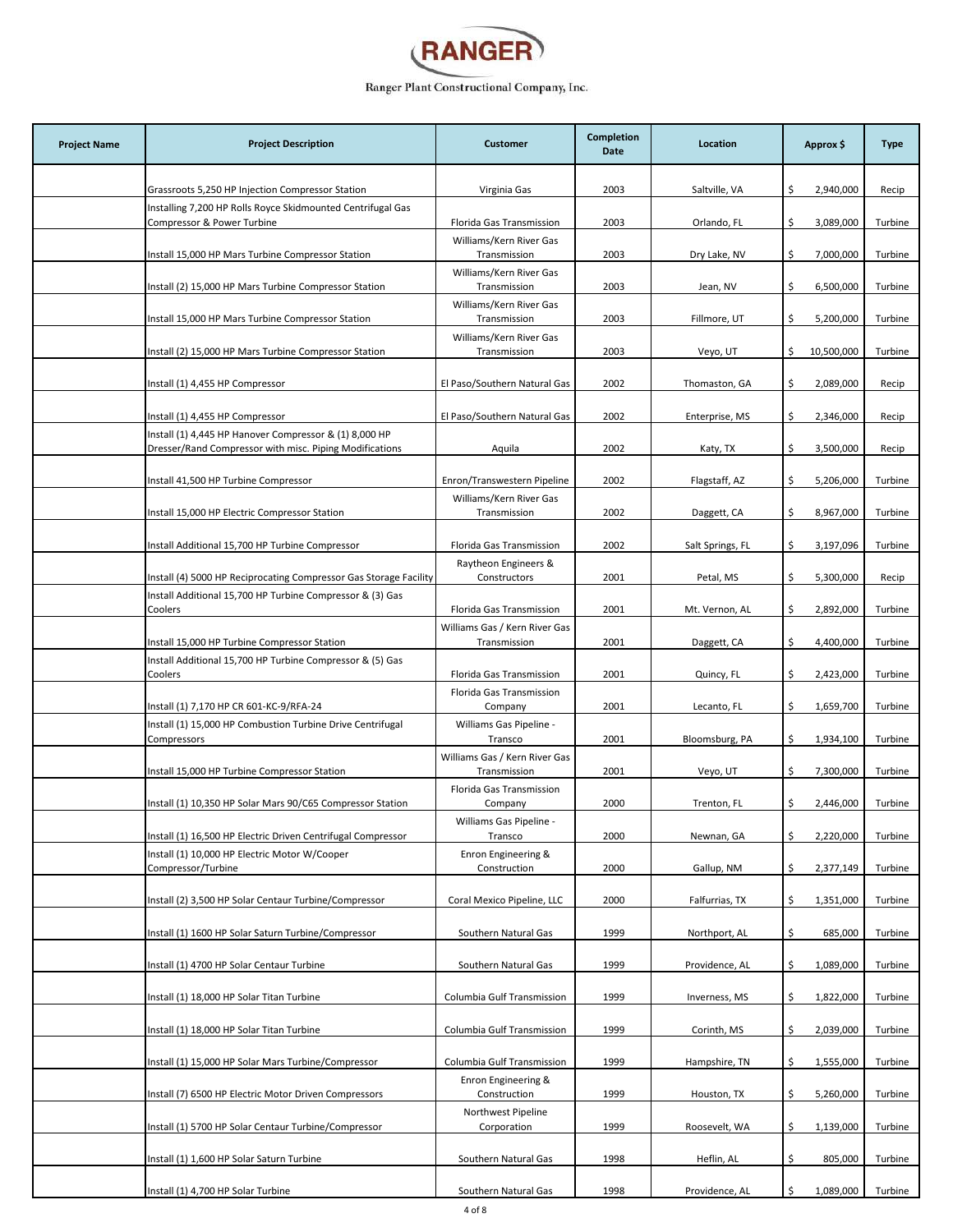

| <b>Project Name</b> | <b>Project Description</b>                                                                                                     | <b>Customer</b>                                     | Completion<br>Date | Location         | Approx \$        | <b>Type</b> |
|---------------------|--------------------------------------------------------------------------------------------------------------------------------|-----------------------------------------------------|--------------------|------------------|------------------|-------------|
|                     | Grassroots 5,250 HP Injection Compressor Station                                                                               | Virginia Gas                                        | 2003               | Saltville, VA    | \$<br>2,940,000  | Recip       |
|                     | Installing 7,200 HP Rolls Royce Skidmounted Centrifugal Gas                                                                    |                                                     |                    |                  |                  |             |
|                     | Compressor & Power Turbine                                                                                                     | Florida Gas Transmission<br>Williams/Kern River Gas | 2003               | Orlando, FL      | \$<br>3,089,000  | Turbine     |
|                     | Install 15,000 HP Mars Turbine Compressor Station                                                                              | Transmission                                        | 2003               | Dry Lake, NV     | \$<br>7,000,000  | Turbine     |
|                     | Install (2) 15,000 HP Mars Turbine Compressor Station                                                                          | Williams/Kern River Gas<br>Transmission             | 2003               | Jean, NV         | \$<br>6,500,000  | Turbine     |
|                     | Install 15,000 HP Mars Turbine Compressor Station                                                                              | Williams/Kern River Gas<br>Transmission             | 2003               | Fillmore, UT     | \$<br>5,200,000  | Turbine     |
|                     | Install (2) 15,000 HP Mars Turbine Compressor Station                                                                          | Williams/Kern River Gas<br>Transmission             | 2003               | Veyo, UT         | \$<br>10,500,000 | Turbine     |
|                     | Install (1) 4,455 HP Compressor                                                                                                | El Paso/Southern Natural Gas                        | 2002               | Thomaston, GA    | 2,089,000<br>\$  | Recip       |
|                     | Install (1) 4,455 HP Compressor                                                                                                | El Paso/Southern Natural Gas                        | 2002               | Enterprise, MS   | \$.<br>2,346,000 | Recip       |
|                     | Install (1) 4,445 HP Hanover Compressor & (1) 8,000 HP                                                                         |                                                     |                    |                  |                  |             |
|                     | Dresser/Rand Compressor with misc. Piping Modifications                                                                        | Aquila                                              | 2002               | Katy, TX         | \$.<br>3,500,000 | Recip       |
|                     | Install 41,500 HP Turbine Compressor                                                                                           | Enron/Transwestern Pipeline                         | 2002               | Flagstaff, AZ    | \$<br>5,206,000  | Turbine     |
|                     | Install 15,000 HP Electric Compressor Station                                                                                  | Williams/Kern River Gas<br>Transmission             | 2002               | Daggett, CA      | 8,967,000<br>\$  | Turbine     |
|                     | Install Additional 15,700 HP Turbine Compressor                                                                                | Florida Gas Transmission                            | 2002               | Salt Springs, FL | \$<br>3,197,096  | Turbine     |
|                     |                                                                                                                                | Raytheon Engineers &                                |                    |                  |                  |             |
|                     | Install (4) 5000 HP Reciprocating Compressor Gas Storage Facility<br>Install Additional 15,700 HP Turbine Compressor & (3) Gas | Constructors                                        | 2001               | Petal, MS        | \$<br>5,300,000  | Recip       |
|                     | Coolers                                                                                                                        | Florida Gas Transmission                            | 2001               | Mt. Vernon, AL   | \$<br>2,892,000  | Turbine     |
|                     | Install 15,000 HP Turbine Compressor Station                                                                                   | Williams Gas / Kern River Gas<br>Transmission       | 2001               | Daggett, CA      | 4,400,000<br>Ŝ.  | Turbine     |
|                     | Install Additional 15,700 HP Turbine Compressor & (5) Gas<br>Coolers                                                           | Florida Gas Transmission                            | 2001               | Quincy, FL       | \$<br>2,423,000  | Turbine     |
|                     | Install (1) 7,170 HP CR 601-KC-9/RFA-24                                                                                        | Florida Gas Transmission<br>Company                 | 2001               | Lecanto, FL      | \$<br>1,659,700  | Turbine     |
|                     | Install (1) 15,000 HP Combustion Turbine Drive Centrifugal<br>Compressors                                                      | Williams Gas Pipeline -<br>Transco                  | 2001               | Bloomsburg, PA   | \$<br>1,934,100  | Turbine     |
|                     | Install 15,000 HP Turbine Compressor Station                                                                                   | Williams Gas / Kern River Gas<br>Transmission       | 2001               | Veyo, UT         | \$<br>7,300,000  | Turbine     |
|                     | Install (1) 10,350 HP Solar Mars 90/C65 Compressor Station                                                                     | Florida Gas Transmission<br>Company                 | 2000               | Trenton, FL      | 2,446,000<br>\$  | Turbine     |
|                     | Install (1) 16,500 HP Electric Driven Centrifugal Compressor                                                                   | Williams Gas Pipeline -<br>Transco                  | 2000               | Newnan, GA       | \$<br>2,220,000  | Turbine     |
|                     | Install (1) 10,000 HP Electric Motor W/Cooper                                                                                  | Enron Engineering &                                 |                    |                  | 2,377,149        | Turbine     |
|                     | Compressor/Turbine                                                                                                             | Construction                                        | 2000               | Gallup, NM       | \$.              |             |
|                     | Install (2) 3,500 HP Solar Centaur Turbine/Compressor                                                                          | Coral Mexico Pipeline, LLC                          | 2000               | Falfurrias, TX   | \$<br>1,351,000  | Turbine     |
|                     | Install (1) 1600 HP Solar Saturn Turbine/Compressor                                                                            | Southern Natural Gas                                | 1999               | Northport, AL    | \$.<br>685,000   | Turbine     |
|                     | Install (1) 4700 HP Solar Centaur Turbine                                                                                      | Southern Natural Gas                                | 1999               | Providence, AL   | \$<br>1,089,000  | Turbine     |
|                     | Install (1) 18,000 HP Solar Titan Turbine                                                                                      | Columbia Gulf Transmission                          | 1999               | Inverness, MS    | \$<br>1,822,000  | Turbine     |
|                     | Install (1) 18,000 HP Solar Titan Turbine                                                                                      | Columbia Gulf Transmission                          | 1999               | Corinth, MS      | \$<br>2,039,000  | Turbine     |
|                     | Install (1) 15,000 HP Solar Mars Turbine/Compressor                                                                            | Columbia Gulf Transmission                          | 1999               | Hampshire, TN    | 1,555,000<br>Ś.  | Turbine     |
|                     | Install (7) 6500 HP Electric Motor Driven Compressors                                                                          | Enron Engineering &<br>Construction                 | 1999               | Houston, TX      | \$<br>5,260,000  | Turbine     |
|                     | Install (1) 5700 HP Solar Centaur Turbine/Compressor                                                                           | Northwest Pipeline<br>Corporation                   | 1999               | Roosevelt, WA    | \$<br>1,139,000  | Turbine     |
|                     | Install (1) 1,600 HP Solar Saturn Turbine                                                                                      | Southern Natural Gas                                | 1998               | Heflin, AL       | \$<br>805,000    | Turbine     |
|                     | Install (1) 4,700 HP Solar Turbine                                                                                             | Southern Natural Gas                                | 1998               | Providence, AL   | \$<br>1,089,000  | Turbine     |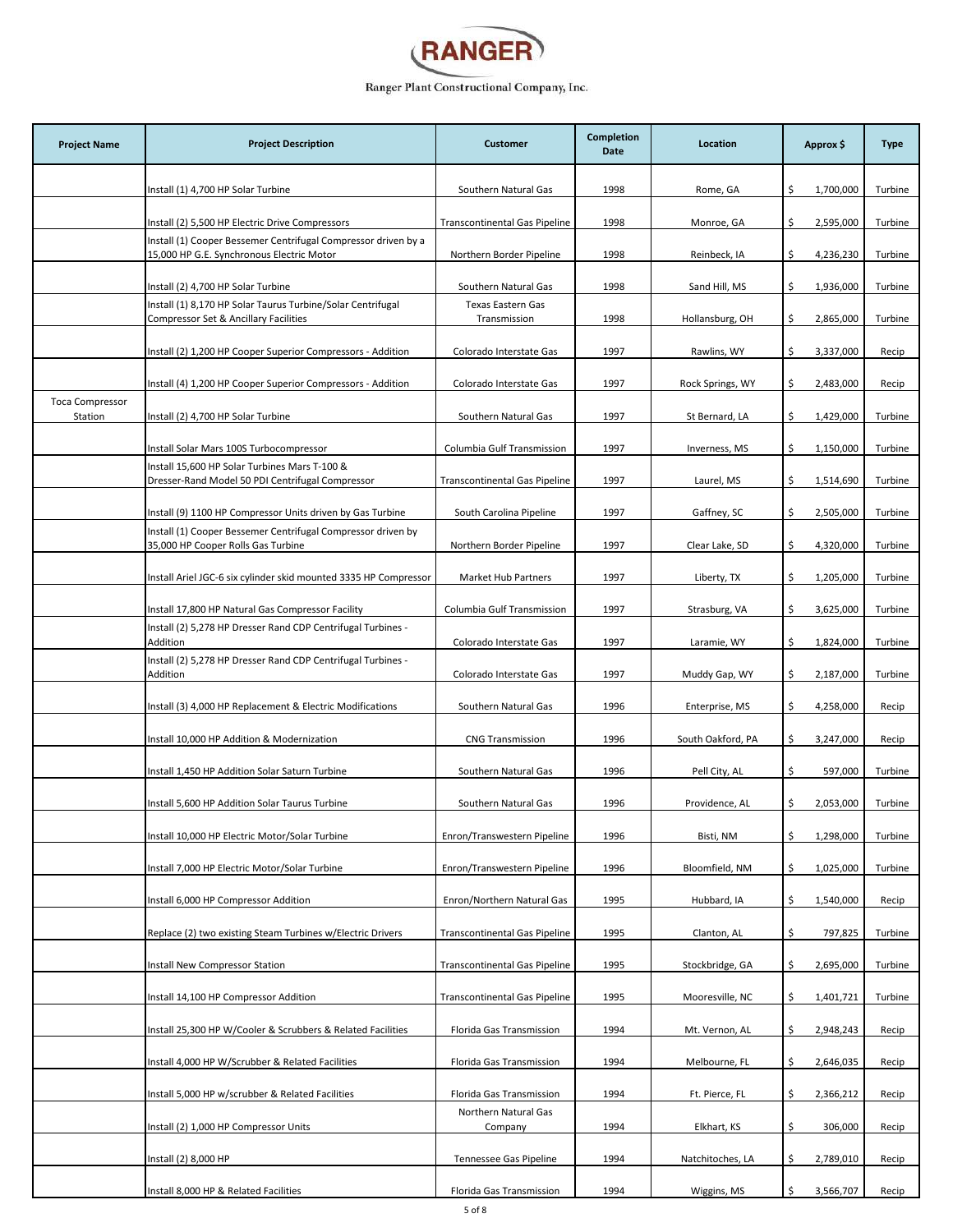

| <b>Project Name</b>               | <b>Project Description</b>                                                                                  | <b>Customer</b>                          | Completion<br>Date | Location          | Approx \$        | <b>Type</b> |
|-----------------------------------|-------------------------------------------------------------------------------------------------------------|------------------------------------------|--------------------|-------------------|------------------|-------------|
|                                   | Install (1) 4,700 HP Solar Turbine                                                                          | Southern Natural Gas                     | 1998               | Rome, GA          | \$<br>1,700,000  | Turbine     |
|                                   | Install (2) 5,500 HP Electric Drive Compressors                                                             | <b>Transcontinental Gas Pipeline</b>     | 1998               | Monroe, GA        | \$<br>2,595,000  | Turbine     |
|                                   | Install (1) Cooper Bessemer Centrifugal Compressor driven by a<br>15,000 HP G.E. Synchronous Electric Motor | Northern Border Pipeline                 | 1998               | Reinbeck, IA      | 4,236,230<br>\$  | Turbine     |
|                                   | Install (2) 4,700 HP Solar Turbine                                                                          | Southern Natural Gas                     | 1998               | Sand Hill, MS     | \$<br>1,936,000  | Turbine     |
|                                   | Install (1) 8,170 HP Solar Taurus Turbine/Solar Centrifugal<br>Compressor Set & Ancillary Facilities        | <b>Texas Eastern Gas</b><br>Transmission | 1998               | Hollansburg, OH   | \$<br>2,865,000  | Turbine     |
|                                   | Install (2) 1,200 HP Cooper Superior Compressors - Addition                                                 | Colorado Interstate Gas                  | 1997               | Rawlins, WY       | \$.<br>3,337,000 | Recip       |
|                                   | Install (4) 1,200 HP Cooper Superior Compressors - Addition                                                 | Colorado Interstate Gas                  | 1997               | Rock Springs, WY  | \$<br>2,483,000  | Recip       |
| <b>Toca Compressor</b><br>Station | Install (2) 4,700 HP Solar Turbine                                                                          | Southern Natural Gas                     | 1997               | St Bernard, LA    | \$<br>1,429,000  | Turbine     |
|                                   | Install Solar Mars 100S Turbocompressor                                                                     | Columbia Gulf Transmission               | 1997               | Inverness, MS     | 1,150,000<br>\$  | Turbine     |
|                                   | Install 15,600 HP Solar Turbines Mars T-100 &<br>Dresser-Rand Model 50 PDI Centrifugal Compressor           | <b>Transcontinental Gas Pipeline</b>     | 1997               | Laurel, MS        | \$<br>1,514,690  | Turbine     |
|                                   | Install (9) 1100 HP Compressor Units driven by Gas Turbine                                                  | South Carolina Pipeline                  | 1997               | Gaffney, SC       | \$<br>2,505,000  | Turbine     |
|                                   | Install (1) Cooper Bessemer Centrifugal Compressor driven by<br>35,000 HP Cooper Rolls Gas Turbine          | Northern Border Pipeline                 | 1997               | Clear Lake, SD    | \$<br>4,320,000  | Turbine     |
|                                   | Install Ariel JGC-6 six cylinder skid mounted 3335 HP Compressor                                            | Market Hub Partners                      | 1997               | Liberty, TX       | \$<br>1,205,000  | Turbine     |
|                                   | Install 17,800 HP Natural Gas Compressor Facility                                                           | Columbia Gulf Transmission               | 1997               | Strasburg, VA     | \$<br>3,625,000  | Turbine     |
|                                   | Install (2) 5,278 HP Dresser Rand CDP Centrifugal Turbines -<br>Addition                                    | Colorado Interstate Gas                  | 1997               | Laramie, WY       | 1,824,000<br>\$  | Turbine     |
|                                   | Install (2) 5,278 HP Dresser Rand CDP Centrifugal Turbines -<br>Addition                                    | Colorado Interstate Gas                  | 1997               | Muddy Gap, WY     | \$.<br>2,187,000 | Turbine     |
|                                   | Install (3) 4,000 HP Replacement & Electric Modifications                                                   | Southern Natural Gas                     | 1996               | Enterprise, MS    | \$<br>4,258,000  | Recip       |
|                                   | Install 10,000 HP Addition & Modernization                                                                  | <b>CNG Transmission</b>                  | 1996               | South Oakford, PA | \$<br>3,247,000  | Recip       |
|                                   | Install 1,450 HP Addition Solar Saturn Turbine                                                              | Southern Natural Gas                     | 1996               | Pell City, AL     | \$.<br>597,000   | Turbine     |
|                                   | Install 5,600 HP Addition Solar Taurus Turbine                                                              | Southern Natural Gas                     | 1996               | Providence, AL    | \$<br>2,053,000  | Turbine     |
|                                   | Install 10,000 HP Electric Motor/Solar Turbine                                                              | Enron/Transwestern Pipeline              | 1996               | Bisti, NM         | \$<br>1,298,000  | Turbine     |
|                                   | Install 7,000 HP Electric Motor/Solar Turbine                                                               | Enron/Transwestern Pipeline              | 1996               | Bloomfield, NM    | 1,025,000<br>\$  | Turbine     |
|                                   | Install 6,000 HP Compressor Addition                                                                        | Enron/Northern Natural Gas               | 1995               | Hubbard, IA       | \$<br>1,540,000  | Recip       |
|                                   | Replace (2) two existing Steam Turbines w/Electric Drivers                                                  | <b>Transcontinental Gas Pipeline</b>     | 1995               | Clanton, AL       | \$<br>797,825    | Turbine     |
|                                   | <b>Install New Compressor Station</b>                                                                       | <b>Transcontinental Gas Pipeline</b>     | 1995               | Stockbridge, GA   | 2,695,000<br>\$  | Turbine     |
|                                   | Install 14,100 HP Compressor Addition                                                                       | <b>Transcontinental Gas Pipeline</b>     | 1995               | Mooresville, NC   | Ś.<br>1,401,721  | Turbine     |
|                                   | Install 25,300 HP W/Cooler & Scrubbers & Related Facilities                                                 | Florida Gas Transmission                 | 1994               | Mt. Vernon, AL    | 2,948,243<br>\$  | Recip       |
|                                   | Install 4,000 HP W/Scrubber & Related Facilities                                                            | Florida Gas Transmission                 | 1994               | Melbourne, FL     | 2,646,035<br>Ŝ.  | Recip       |
|                                   | Install 5,000 HP w/scrubber & Related Facilities                                                            | Florida Gas Transmission                 | 1994               | Ft. Pierce, FL    | 2,366,212<br>\$  | Recip       |
|                                   | Install (2) 1,000 HP Compressor Units                                                                       | Northern Natural Gas<br>Company          | 1994               | Elkhart, KS       | \$<br>306,000    | Recip       |
|                                   | Install (2) 8,000 HP                                                                                        | Tennessee Gas Pipeline                   | 1994               | Natchitoches, LA  | 2,789,010<br>\$  | Recip       |
|                                   | Install 8,000 HP & Related Facilities                                                                       | Florida Gas Transmission                 | 1994               | Wiggins, MS       | \$<br>3,566,707  | Recip       |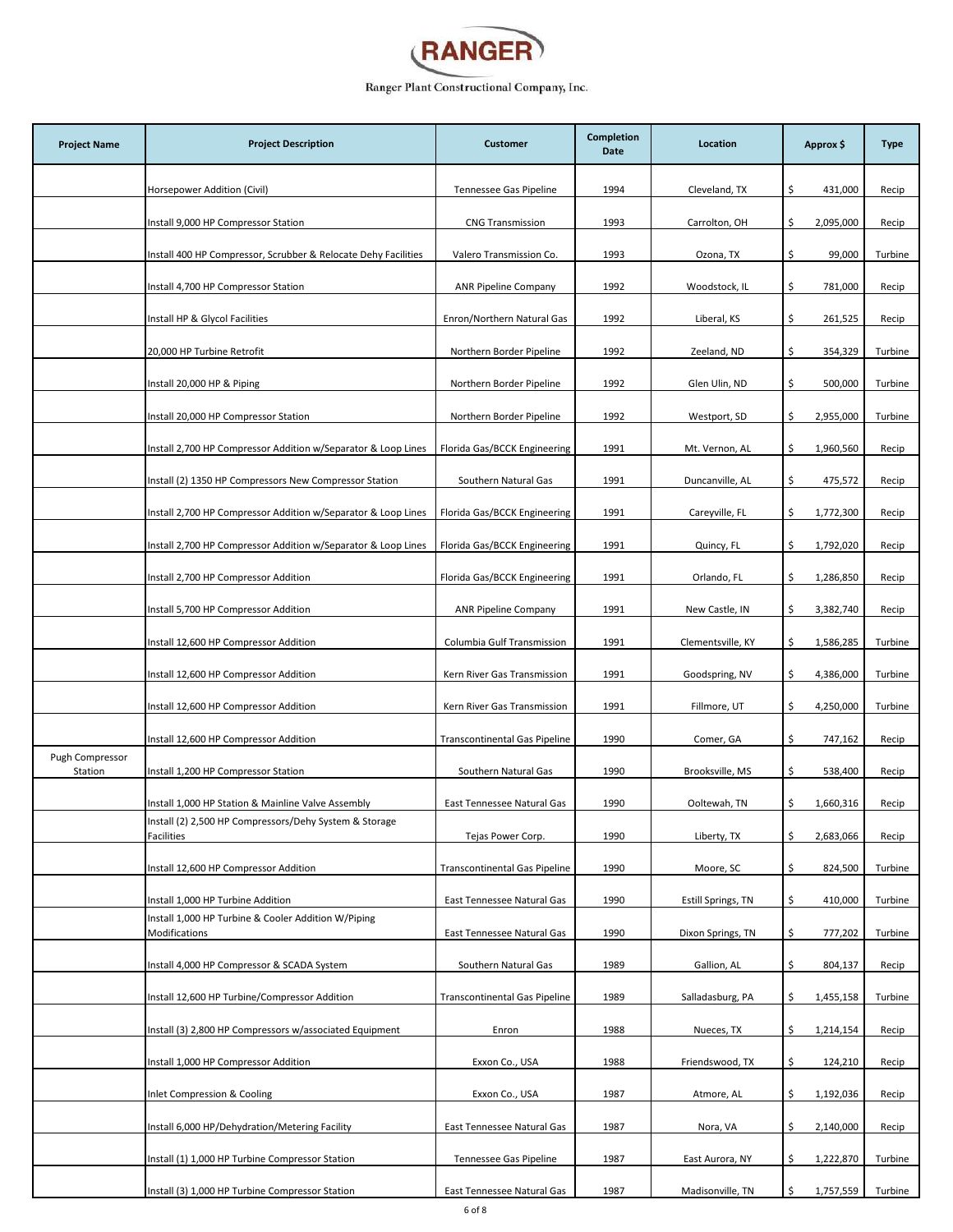

| <b>Project Name</b>        | <b>Project Description</b>                                           | <b>Customer</b>                      | Completion<br>Date | Location           | Approx \$        | <b>Type</b> |
|----------------------------|----------------------------------------------------------------------|--------------------------------------|--------------------|--------------------|------------------|-------------|
|                            | Horsepower Addition (Civil)                                          | Tennessee Gas Pipeline               | 1994               | Cleveland, TX      | \$<br>431,000    | Recip       |
|                            | Install 9,000 HP Compressor Station                                  | <b>CNG Transmission</b>              | 1993               | Carrolton, OH      | 2,095,000<br>\$  | Recip       |
|                            | Install 400 HP Compressor, Scrubber & Relocate Dehy Facilities       | Valero Transmission Co.              | 1993               | Ozona, TX          | \$<br>99,000     | Turbine     |
|                            | Install 4,700 HP Compressor Station                                  | <b>ANR Pipeline Company</b>          | 1992               | Woodstock, IL      | \$.<br>781,000   | Recip       |
|                            | Install HP & Glycol Facilities                                       | Enron/Northern Natural Gas           | 1992               | Liberal, KS        | \$<br>261,525    | Recip       |
|                            | 20,000 HP Turbine Retrofit                                           | Northern Border Pipeline             | 1992               | Zeeland, ND        | \$<br>354,329    | Turbine     |
|                            | Install 20,000 HP & Piping                                           | Northern Border Pipeline             | 1992               | Glen Ulin, ND      | \$.<br>500,000   | Turbine     |
|                            | Install 20,000 HP Compressor Station                                 | Northern Border Pipeline             | 1992               | Westport, SD       | \$.<br>2,955,000 | Turbine     |
|                            | Install 2,700 HP Compressor Addition w/Separator & Loop Lines        | Florida Gas/BCCK Engineering         | 1991               | Mt. Vernon, AL     | 1,960,560<br>\$  | Recip       |
|                            | Install (2) 1350 HP Compressors New Compressor Station               | Southern Natural Gas                 | 1991               | Duncanville, AL    | \$.<br>475,572   | Recip       |
|                            | Install 2,700 HP Compressor Addition w/Separator & Loop Lines        | Florida Gas/BCCK Engineering         | 1991               | Careyville, FL     | 1,772,300<br>\$  | Recip       |
|                            | Install 2,700 HP Compressor Addition w/Separator & Loop Lines        | Florida Gas/BCCK Engineering         | 1991               | Quincy, FL         | \$<br>1,792,020  | Recip       |
|                            | Install 2,700 HP Compressor Addition                                 | Florida Gas/BCCK Engineering         | 1991               | Orlando, FL        | \$<br>1,286,850  | Recip       |
|                            | Install 5,700 HP Compressor Addition                                 | <b>ANR Pipeline Company</b>          | 1991               | New Castle, IN     | Ś.<br>3,382,740  | Recip       |
|                            | Install 12,600 HP Compressor Addition                                | Columbia Gulf Transmission           | 1991               | Clementsville, KY  | 1,586,285<br>\$  | Turbine     |
|                            | Install 12,600 HP Compressor Addition                                | Kern River Gas Transmission          | 1991               | Goodspring, NV     | \$<br>4,386,000  | Turbine     |
|                            | Install 12,600 HP Compressor Addition                                | Kern River Gas Transmission          | 1991               | Fillmore, UT       | \$<br>4,250,000  | Turbine     |
|                            | Install 12,600 HP Compressor Addition                                | <b>Transcontinental Gas Pipeline</b> | 1990               | Comer, GA          | \$<br>747,162    | Recip       |
| Pugh Compressor<br>Station | Install 1,200 HP Compressor Station                                  | Southern Natural Gas                 | 1990               | Brooksville, MS    | \$<br>538,400    | Recip       |
|                            | Install 1,000 HP Station & Mainline Valve Assembly                   | East Tennessee Natural Gas           | 1990               | Ooltewah, TN       | \$<br>1,660,316  | Recip       |
|                            | Install (2) 2,500 HP Compressors/Dehy System & Storage<br>Facilities | Tejas Power Corp.                    | 1990               | Liberty, TX        | \$<br>2,683,066  | Recip       |
|                            | Install 12,600 HP Compressor Addition                                | <b>Transcontinental Gas Pipeline</b> | 1990               | Moore, SC          | \$<br>824,500    | Turbine     |
|                            | Install 1,000 HP Turbine Addition                                    | East Tennessee Natural Gas           | 1990               | Estill Springs, TN | \$<br>410,000    | Turbine     |
|                            | Install 1,000 HP Turbine & Cooler Addition W/Piping<br>Modifications | East Tennessee Natural Gas           | 1990               | Dixon Springs, TN  | \$<br>777,202    | Turbine     |
|                            | Install 4,000 HP Compressor & SCADA System                           | Southern Natural Gas                 | 1989               | Gallion, AL        | \$.<br>804,137   | Recip       |
|                            | Install 12,600 HP Turbine/Compressor Addition                        | <b>Transcontinental Gas Pipeline</b> | 1989               | Salladasburg, PA   | \$<br>1,455,158  | Turbine     |
|                            | Install (3) 2,800 HP Compressors w/associated Equipment              | Enron                                | 1988               | Nueces, TX         | 1,214,154<br>\$  | Recip       |
|                            | Install 1,000 HP Compressor Addition                                 | Exxon Co., USA                       | 1988               | Friendswood, TX    | \$<br>124,210    | Recip       |
|                            | Inlet Compression & Cooling                                          | Exxon Co., USA                       | 1987               | Atmore, AL         | 1,192,036<br>\$  | Recip       |
|                            | Install 6,000 HP/Dehydration/Metering Facility                       | East Tennessee Natural Gas           | 1987               | Nora, VA           | 2,140,000<br>\$. | Recip       |
|                            | Install (1) 1,000 HP Turbine Compressor Station                      | Tennessee Gas Pipeline               | 1987               | East Aurora, NY    | \$<br>1,222,870  | Turbine     |
|                            | Install (3) 1,000 HP Turbine Compressor Station                      | East Tennessee Natural Gas           | 1987               | Madisonville, TN   | \$<br>1,757,559  | Turbine     |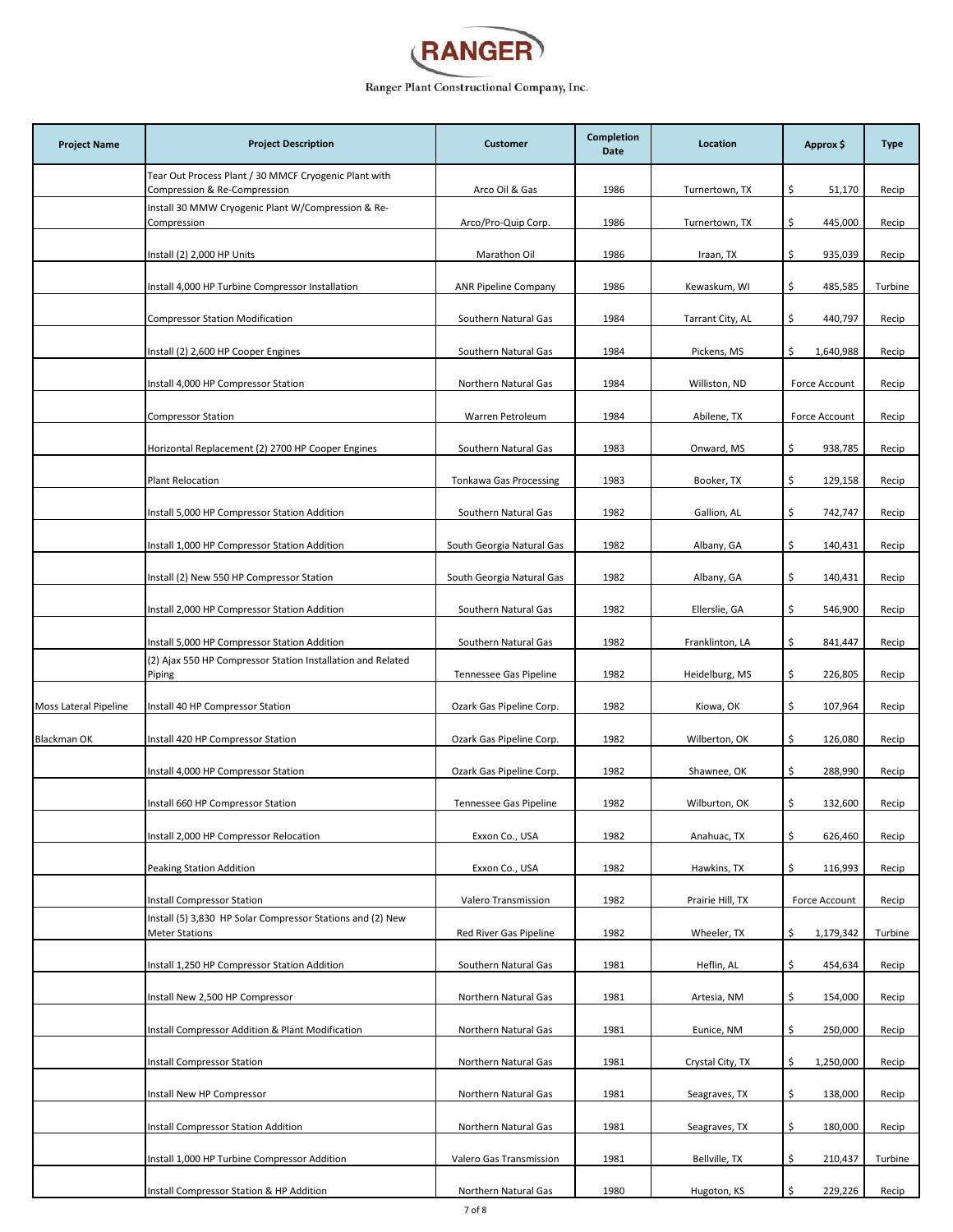

| <b>Project Name</b>   | <b>Project Description</b>                                                            | <b>Customer</b>               | Completion<br>Date | Location         | Approx \$       | <b>Type</b> |
|-----------------------|---------------------------------------------------------------------------------------|-------------------------------|--------------------|------------------|-----------------|-------------|
|                       | Tear Out Process Plant / 30 MMCF Cryogenic Plant with<br>Compression & Re-Compression | Arco Oil & Gas                | 1986               | Turnertown, TX   | \$.<br>51,170   | Recip       |
|                       | Install 30 MMW Cryogenic Plant W/Compression & Re-<br>Compression                     | Arco/Pro-Quip Corp.           | 1986               | Turnertown, TX   | \$<br>445,000   | Recip       |
|                       | Install (2) 2,000 HP Units                                                            | Marathon Oil                  | 1986               | Iraan, TX        | \$<br>935,039   | Recip       |
|                       | Install 4,000 HP Turbine Compressor Installation                                      | <b>ANR Pipeline Company</b>   | 1986               | Kewaskum, WI     | \$<br>485,585   | Turbine     |
|                       | <b>Compressor Station Modification</b>                                                | Southern Natural Gas          | 1984               | Tarrant City, AL | 440,797<br>\$.  | Recip       |
|                       | Install (2) 2,600 HP Cooper Engines                                                   | Southern Natural Gas          | 1984               | Pickens, MS      | 1,640,988<br>\$ | Recip       |
|                       | Install 4,000 HP Compressor Station                                                   | Northern Natural Gas          | 1984               | Williston, ND    | Force Account   | Recip       |
|                       | <b>Compressor Station</b>                                                             | Warren Petroleum              | 1984               | Abilene, TX      | Force Account   | Recip       |
|                       | Horizontal Replacement (2) 2700 HP Cooper Engines                                     | Southern Natural Gas          | 1983               | Onward, MS       | \$<br>938,785   | Recip       |
|                       | <b>Plant Relocation</b>                                                               | <b>Tonkawa Gas Processing</b> | 1983               | Booker, TX       | \$<br>129,158   | Recip       |
|                       | Install 5,000 HP Compressor Station Addition                                          | Southern Natural Gas          | 1982               | Gallion, AL      | \$.<br>742,747  | Recip       |
|                       | Install 1,000 HP Compressor Station Addition                                          | South Georgia Natural Gas     | 1982               | Albany, GA       | \$<br>140,431   | Recip       |
|                       | Install (2) New 550 HP Compressor Station                                             | South Georgia Natural Gas     | 1982               | Albany, GA       | \$<br>140,431   | Recip       |
|                       | Install 2,000 HP Compressor Station Addition                                          | Southern Natural Gas          | 1982               | Ellerslie, GA    | \$<br>546,900   | Recip       |
|                       | Install 5,000 HP Compressor Station Addition                                          | Southern Natural Gas          | 1982               | Franklinton, LA  | \$<br>841,447   | Recip       |
|                       | (2) Ajax 550 HP Compressor Station Installation and Related<br>Piping                 | Tennessee Gas Pipeline        | 1982               | Heidelburg, MS   | \$.<br>226,805  | Recip       |
| Moss Lateral Pipeline | Install 40 HP Compressor Station                                                      | Ozark Gas Pipeline Corp.      | 1982               | Kiowa, OK        | \$<br>107,964   | Recip       |
| Blackman OK           | Install 420 HP Compressor Station                                                     | Ozark Gas Pipeline Corp.      | 1982               | Wilberton, OK    | \$<br>126,080   | Recip       |
|                       | Install 4,000 HP Compressor Station                                                   | Ozark Gas Pipeline Corp.      | 1982               | Shawnee, OK      | \$<br>288,990   | Recip       |
|                       | Install 660 HP Compressor Station                                                     | Tennessee Gas Pipeline        | 1982               | Wilburton, OK    | \$<br>132,600   | Recip       |
|                       | Install 2,000 HP Compressor Relocation                                                | Exxon Co., USA                | 1982               | Anahuac, TX      | \$<br>626,460   | Recip       |
|                       | Peaking Station Addition                                                              | Exxon Co., USA                | 1982               | Hawkins, TX      | 116,993<br>\$   | Recip       |
|                       | <b>Install Compressor Station</b>                                                     | Valero Transmission           | 1982               | Prairie Hill, TX | Force Account   | Recip       |
|                       | Install (5) 3,830 HP Solar Compressor Stations and (2) New<br><b>Meter Stations</b>   | Red River Gas Pipeline        | 1982               | Wheeler, TX      | 1,179,342<br>\$ | Turbine     |
|                       | Install 1,250 HP Compressor Station Addition                                          | Southern Natural Gas          | 1981               | Heflin, AL       | \$<br>454,634   | Recip       |
|                       | Install New 2,500 HP Compressor                                                       | Northern Natural Gas          | 1981               | Artesia, NM      | \$.<br>154,000  | Recip       |
|                       | Install Compressor Addition & Plant Modification                                      | Northern Natural Gas          | 1981               | Eunice, NM       | \$<br>250,000   | Recip       |
|                       | <b>Install Compressor Station</b>                                                     | Northern Natural Gas          | 1981               | Crystal City, TX | \$<br>1,250,000 | Recip       |
|                       | Install New HP Compressor                                                             | Northern Natural Gas          | 1981               | Seagraves, TX    | \$.<br>138,000  | Recip       |
|                       | Install Compressor Station Addition                                                   | Northern Natural Gas          | 1981               | Seagraves, TX    | \$<br>180,000   | Recip       |
|                       | Install 1,000 HP Turbine Compressor Addition                                          | Valero Gas Transmission       | 1981               | Bellville, TX    | \$.<br>210,437  | Turbine     |
|                       | Install Compressor Station & HP Addition                                              | Northern Natural Gas          | 1980               | Hugoton, KS      | \$<br>229,226   | Recip       |